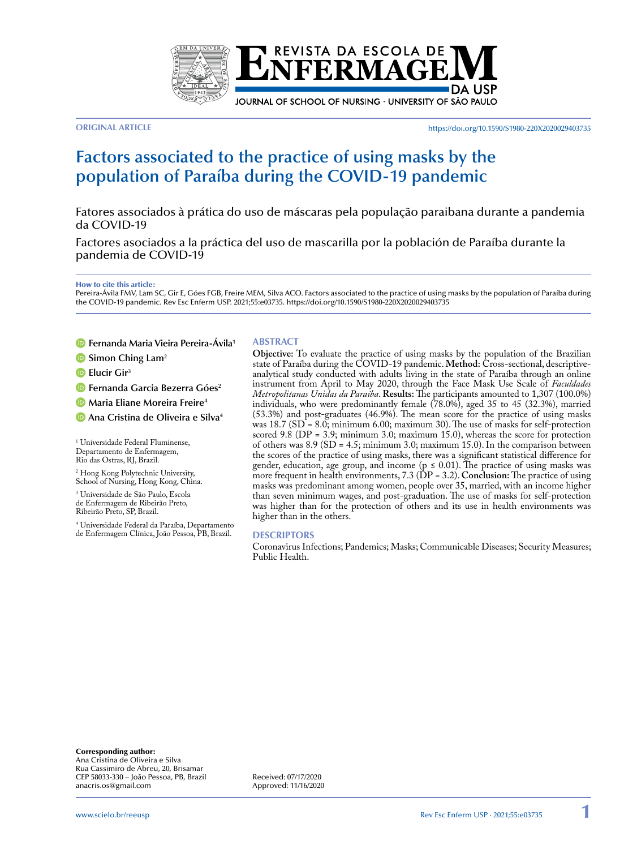

**ORIGINAL ARTICLE** https://doi.org/10.1590/S1980-220X2020029403735

# **Factors associated to the practice of using masks by the population of Paraíba during the COVID-19 pandemic**

Fatores associados à prática do uso de máscaras pela população paraibana durante a pandemia da COVID-19

Factores asociados a la práctica del uso de mascarilla por la población de Paraíba durante la pandemia de COVID-19

How to cite this article:

Pereira-Ávila FMV, Lam SC, Gir E, Góes FGB, Freire MEM, Silva ACO. Factors associated to the practice of using masks by the population of Paraíba during the COVID-19 pandemic. Rev Esc Enferm USP. 2021;55:e03735. https://doi.org/10.1590/S1980-220X2020029403735

#### **Fernanda Maria Vieira Pereira-Ávila1**

- **B** Simon Ching Lam<sup>2</sup>
- **Elucir Gir**<sup>3</sup>

**Fernanda Garcia Bezerra Góes**<sup>2</sup>

**Maria Eliane Moreira Freire<sup>4</sup>** 

**Ana Cristina de Oliveira e Silva4**

1 Universidade Federal Fluminense, Departamento de Enfermagem, Rio das Ostras, RJ, Brazil.

2 Hong Kong Polytechnic University, School of Nursing, Hong Kong, China.

3 Universidade de São Paulo, Escola de Enfermagem de Ribeirão Preto, Ribeirão Preto, SP, Brazil.

4 Universidade Federal da Paraíba, Departamento de Enfermagem Clínica, João Pessoa, PB, Brazil.

#### **ABSTRACT**

**Objective:** To evaluate the practice of using masks by the population of the Brazilian state of Paraíba during the COVID-19 pandemic. **Method:** Cross-sectional, descriptiveanalytical study conducted with adults living in the state of Paraíba through an online instrument from April to May 2020, through the Face Mask Use Scale of *Faculdades Metropolitanas Unidas da Paraíba*. **Results:** The participants amounted to 1,307 (100.0%) individuals, who were predominantly female (78.0%), aged 35 to 45 (32.3%), married (53.3%) and post-graduates (46.9%). The mean score for the practice of using masks was 18.7 (SD = 8.0; minimum 6.00; maximum 30). The use of masks for self-protection scored 9.8 (DP = 3.9; minimum 3.0; maximum 15.0), whereas the score for protection of others was 8.9 (SD = 4.5; minimum 3.0; maximum 15.0). In the comparison between the scores of the practice of using masks, there was a significant statistical difference for gender, education, age group, and income ( $p \le 0.01$ ). The practice of using masks was more frequent in health environments, 7.3 (DP = 3.2). **Conclusion:** The practice of using masks was predominant among women, people over 35, married, with an income higher than seven minimum wages, and post-graduation. The use of masks for self-protection was higher than for the protection of others and its use in health environments was higher than in the others.

#### **DESCRIPTORS**

Coronavirus Infections; Pandemics; Masks; Communicable Diseases; Security Measures; Public Health.

Corresponding author: Ana Cristina de Oliveira e Silva Rua Cassimiro de Abreu, 20, Brisamar CEP 58033-330 – João Pessoa, PB, Brazil anacris.os@gmail.com

Received: 07/17/2020 Approved: 11/16/2020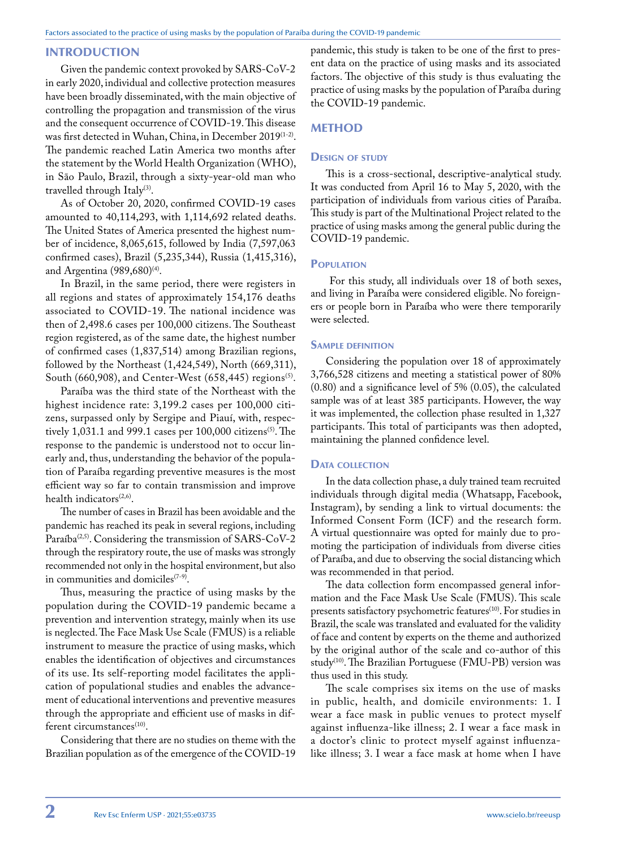# INTRODUCTION

Given the pandemic context provoked by SARS-CoV-2 in early 2020, individual and collective protection measures have been broadly disseminated, with the main objective of controlling the propagation and transmission of the virus and the consequent occurrence of COVID-19. This disease was first detected in Wuhan, China, in December 2019(1-2). The pandemic reached Latin America two months after the statement by the World Health Organization (WHO), in São Paulo, Brazil, through a sixty-year-old man who travelled through Italy<sup>(3)</sup>.

As of October 20, 2020, confirmed COVID-19 cases amounted to 40,114,293, with 1,114,692 related deaths. The United States of America presented the highest number of incidence, 8,065,615, followed by India (7,597,063 confirmed cases), Brazil (5,235,344), Russia (1,415,316), and Argentina (989,680)<sup>(4)</sup>.

In Brazil, in the same period, there were registers in all regions and states of approximately 154,176 deaths associated to COVID-19. The national incidence was then of 2,498.6 cases per 100,000 citizens. The Southeast region registered, as of the same date, the highest number of confirmed cases (1,837,514) among Brazilian regions, followed by the Northeast (1,424,549), North (669,311), South (660,908), and Center-West (658,445) regions<sup>(5)</sup>.

Paraíba was the third state of the Northeast with the highest incidence rate: 3,199.2 cases per 100,000 citizens, surpassed only by Sergipe and Piauí, with, respectively 1,031.1 and 999.1 cases per  $100,000$  citizens<sup>(5)</sup>. The response to the pandemic is understood not to occur linearly and, thus, understanding the behavior of the population of Paraíba regarding preventive measures is the most efficient way so far to contain transmission and improve health indicators $(2,6)$ .

The number of cases in Brazil has been avoidable and the pandemic has reached its peak in several regions, including Paraíba<sup> $(2,5)$ </sup>. Considering the transmission of SARS-CoV-2 through the respiratory route, the use of masks was strongly recommended not only in the hospital environment, but also in communities and domiciles $(7-9)$ .

Thus, measuring the practice of using masks by the population during the COVID-19 pandemic became a prevention and intervention strategy, mainly when its use is neglected. The Face Mask Use Scale (FMUS) is a reliable instrument to measure the practice of using masks, which enables the identification of objectives and circumstances of its use. Its self-reporting model facilitates the application of populational studies and enables the advancement of educational interventions and preventive measures through the appropriate and efficient use of masks in different circumstances<sup>(10)</sup>.

Considering that there are no studies on theme with the Brazilian population as of the emergence of the COVID-19

pandemic, this study is taken to be one of the first to present data on the practice of using masks and its associated factors. The objective of this study is thus evaluating the practice of using masks by the population of Paraíba during the COVID-19 pandemic.

# **METHOD**

# **DESIGN OF STUDY**

This is a cross-sectional, descriptive-analytical study. It was conducted from April 16 to May 5, 2020, with the participation of individuals from various cities of Paraíba. This study is part of the Multinational Project related to the practice of using masks among the general public during the COVID-19 pandemic.

# **POPULATION**

 For this study, all individuals over 18 of both sexes, and living in Paraíba were considered eligible. No foreigners or people born in Paraíba who were there temporarily were selected.

# Sample definition

Considering the population over 18 of approximately 3,766,528 citizens and meeting a statistical power of 80% (0.80) and a significance level of 5% (0.05), the calculated sample was of at least 385 participants. However, the way it was implemented, the collection phase resulted in 1,327 participants. This total of participants was then adopted, maintaining the planned confidence level.

# DATA COLLECTION

In the data collection phase, a duly trained team recruited individuals through digital media (Whatsapp, Facebook, Instagram), by sending a link to virtual documents: the Informed Consent Form (ICF) and the research form. A virtual questionnaire was opted for mainly due to promoting the participation of individuals from diverse cities of Paraíba, and due to observing the social distancing which was recommended in that period.

The data collection form encompassed general information and the Face Mask Use Scale (FMUS). This scale presents satisfactory psychometric features<sup>(10)</sup>. For studies in Brazil, the scale was translated and evaluated for the validity of face and content by experts on the theme and authorized by the original author of the scale and co-author of this study<sup>(10)</sup>. The Brazilian Portuguese (FMU-PB) version was thus used in this study.

The scale comprises six items on the use of masks in public, health, and domicile environments: 1. I wear a face mask in public venues to protect myself against influenza-like illness; 2. I wear a face mask in a doctor's clinic to protect myself against influenzalike illness; 3. I wear a face mask at home when I have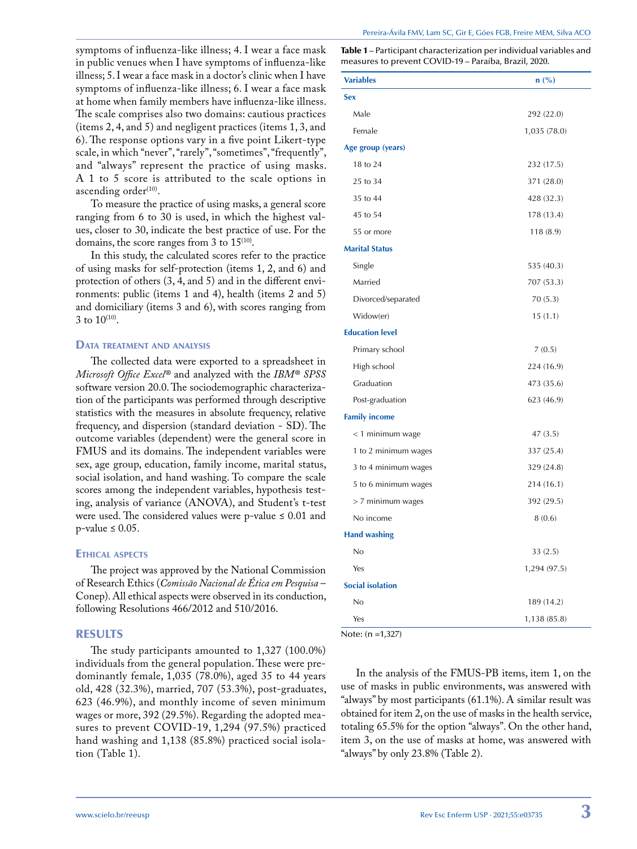symptoms of influenza-like illness; 4. I wear a face mask in public venues when I have symptoms of influenza-like illness; 5. I wear a face mask in a doctor's clinic when I have symptoms of influenza-like illness; 6. I wear a face mask at home when family members have influenza-like illness. The scale comprises also two domains: cautious practices (items 2, 4, and 5) and negligent practices (items 1, 3, and 6). The response options vary in a five point Likert-type scale, in which "never", "rarely", "sometimes", "frequently", and "always" represent the practice of using masks. A 1 to 5 score is attributed to the scale options in ascending order<sup>(10)</sup>.

To measure the practice of using masks, a general score ranging from 6 to 30 is used, in which the highest values, closer to 30, indicate the best practice of use. For the domains, the score ranges from 3 to  $15^{(10)}$ .

In this study, the calculated scores refer to the practice of using masks for self-protection (items 1, 2, and 6) and protection of others (3, 4, and 5) and in the different environments: public (items 1 and 4), health (items 2 and 5) and domiciliary (items 3 and 6), with scores ranging from 3 to  $10^{(10)}$ .

#### DATA TREATMENT AND ANALYSIS

The collected data were exported to a spreadsheet in *Microsoft Office Excel®* and analyzed with the *IBM® SPSS* software version 20.0. The sociodemographic characterization of the participants was performed through descriptive statistics with the measures in absolute frequency, relative frequency, and dispersion (standard deviation - SD). The outcome variables (dependent) were the general score in FMUS and its domains. The independent variables were sex, age group, education, family income, marital status, social isolation, and hand washing. To compare the scale scores among the independent variables, hypothesis testing, analysis of variance (ANOVA), and Student's t-test were used. The considered values were p-value  $\leq 0.01$  and  $p$ -value  $\leq 0.05$ .

#### Ethical aspects

The project was approved by the National Commission of Research Ethics (*Comissão Nacional de Ética em Pesquisa* – Conep). All ethical aspects were observed in its conduction, following Resolutions 466/2012 and 510/2016.

# RESULTS

The study participants amounted to 1,327 (100.0%) individuals from the general population. These were predominantly female, 1,035 (78.0%), aged 35 to 44 years old, 428 (32.3%), married, 707 (53.3%), post-graduates, 623 (46.9%), and monthly income of seven minimum wages or more, 392 (29.5%). Regarding the adopted measures to prevent COVID-19, 1,294 (97.5%) practiced hand washing and 1,138 (85.8%) practiced social isolation (Table 1).

Table 1 – Participant characterization per individual variables and measures to prevent COVID-19 – Paraíba, Brazil, 2020.

| <b>Variables</b>        | n (%)        |
|-------------------------|--------------|
| <b>Sex</b>              |              |
| Male                    | 292 (22.0)   |
| Female                  | 1,035 (78.0) |
| Age group (years)       |              |
| 18 to 24                | 232 (17.5)   |
| 25 to 34                | 371 (28.0)   |
| 35 to 44                | 428 (32.3)   |
| 45 to 54                | 178 (13.4)   |
| 55 or more              | 118(8.9)     |
| <b>Marital Status</b>   |              |
| Single                  | 535 (40.3)   |
| Married                 | 707 (53.3)   |
| Divorced/separated      | 70(5.3)      |
| Widow(er)               | 15(1.1)      |
| <b>Education level</b>  |              |
| Primary school          | 7(0.5)       |
| High school             | 224 (16.9)   |
| Graduation              | 473 (35.6)   |
| Post-graduation         | 623 (46.9)   |
| <b>Family income</b>    |              |
| < 1 minimum wage        | 47(3.5)      |
| 1 to 2 minimum wages    | 337 (25.4)   |
| 3 to 4 minimum wages    | 329 (24.8)   |
| 5 to 6 minimum wages    | 214 (16.1)   |
| > 7 minimum wages       | 392 (29.5)   |
| No income               | 8(0.6)       |
| <b>Hand washing</b>     |              |
| No                      | 33(2.5)      |
| Yes                     | 1,294 (97.5) |
| <b>Social isolation</b> |              |
| No                      | 189 (14.2)   |
| Yes                     | 1,138 (85.8) |

Note: (n =1,327)

In the analysis of the FMUS-PB items, item 1, on the use of masks in public environments, was answered with "always" by most participants (61.1%). A similar result was obtained for item 2, on the use of masks in the health service, totaling 65.5% for the option "always". On the other hand, item 3, on the use of masks at home, was answered with "always" by only 23.8% (Table 2).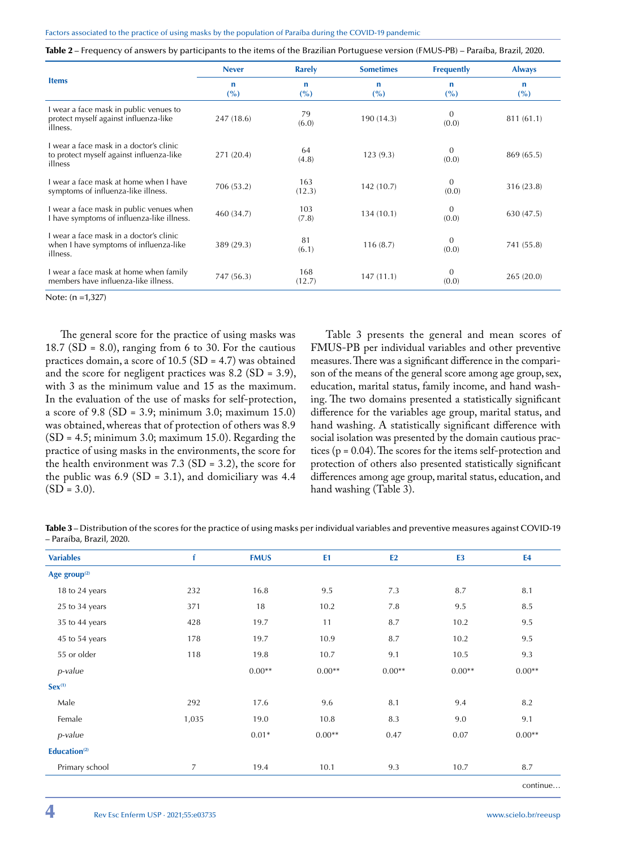|  |  |  | <b>Table 2</b> – Frequency of answers by participants to the items of the Brazilian Portuguese version (FMUS-PB) – Paraíba, Brazil, 2020. |
|--|--|--|-------------------------------------------------------------------------------------------------------------------------------------------|
|--|--|--|-------------------------------------------------------------------------------------------------------------------------------------------|

|                                                                                                | <b>Never</b> | <b>Rarely</b> | <b>Sometimes</b> | <b>Frequently</b>     | <b>Always</b> |
|------------------------------------------------------------------------------------------------|--------------|---------------|------------------|-----------------------|---------------|
| <b>Items</b>                                                                                   | n<br>$($ %)  | n<br>(%)      | n<br>(%)         | n<br>(%)              | n<br>(%)      |
| I wear a face mask in public venues to<br>protect myself against influenza-like<br>illness.    | 247 (18.6)   | 79<br>(6.0)   | 190 (14.3)       | $\Omega$<br>(0.0)     | 811 (61.1)    |
| Lwear a face mask in a doctor's clinic.<br>to protect myself against influenza-like<br>illness | 271 (20.4)   | 64<br>(4.8)   | 123(9.3)         | $\theta$<br>(0.0)     | 869 (65.5)    |
| I wear a face mask at home when I have<br>symptoms of influenza-like illness.                  | 706 (53.2)   | 163<br>(12.3) | 142 (10.7)       | $\theta$<br>(0.0)     | 316 (23.8)    |
| I wear a face mask in public venues when<br>I have symptoms of influenza-like illness.         | 460 (34.7)   | 103<br>(7.8)  | 134 (10.1)       | $\mathbf{0}$<br>(0.0) | 630 (47.5)    |
| I wear a face mask in a doctor's clinic<br>when I have symptoms of influenza-like<br>illness.  | 389 (29.3)   | 81<br>(6.1)   | 116(8.7)         | $\theta$<br>(0.0)     | 741 (55.8)    |
| I wear a face mask at home when family<br>members have influenza-like illness.                 | 747 (56.3)   | 168<br>(12.7) | 147(11.1)        | $\theta$<br>(0.0)     | 265(20.0)     |

Note: (n =1,327)

The general score for the practice of using masks was 18.7 (SD = 8.0), ranging from 6 to 30. For the cautious practices domain, a score of 10.5 (SD = 4.7) was obtained and the score for negligent practices was 8.2 (SD = 3.9), with 3 as the minimum value and 15 as the maximum. In the evaluation of the use of masks for self-protection, a score of 9.8 (SD = 3.9; minimum 3.0; maximum 15.0) was obtained, whereas that of protection of others was 8.9 (SD = 4.5; minimum 3.0; maximum 15.0). Regarding the practice of using masks in the environments, the score for the health environment was  $7.3$  (SD = 3.2), the score for the public was  $6.9$  (SD = 3.1), and domiciliary was 4.4  $(SD = 3.0)$ .

Table 3 presents the general and mean scores of FMUS-PB per individual variables and other preventive measures. There was a significant difference in the comparison of the means of the general score among age group, sex, education, marital status, family income, and hand washing. The two domains presented a statistically significant difference for the variables age group, marital status, and hand washing. A statistically significant difference with social isolation was presented by the domain cautious practices ( $p = 0.04$ ). The scores for the items self-protection and protection of others also presented statistically significant differences among age group, marital status, education, and hand washing (Table 3).

Table 3 – Distribution of the scores for the practice of using masks per individual variables and preventive measures against COVID-19 – Paraíba, Brazil, 2020.

| <b>Variables</b>         | f              | <b>FMUS</b> | E1       | E2       | E <sub>3</sub> | E4                   |
|--------------------------|----------------|-------------|----------|----------|----------------|----------------------|
| Age group $(2)$          |                |             |          |          |                |                      |
| 18 to 24 years           | 232            | 16.8        | 9.5      | 7.3      | 8.7            | 8.1                  |
| 25 to 34 years           | 371            | 18          | 10.2     | 7.8      | 9.5            | 8.5                  |
| 35 to 44 years           | 428            | 19.7        | 11       | 8.7      | 10.2           | 9.5                  |
| 45 to 54 years           | 178            | 19.7        | 10.9     | 8.7      | 10.2           | 9.5                  |
| 55 or older              | 118            | 19.8        | 10.7     | 9.1      | 10.5           | 9.3                  |
| p-value                  |                | $0.00**$    | $0.00**$ | $0.00**$ | $0.00**$       | $0.00**$             |
| $Sex^{(1)}$              |                |             |          |          |                |                      |
| Male                     | 292            | 17.6        | 9.6      | 8.1      | 9.4            | 8.2                  |
| Female                   | 1,035          | 19.0        | 10.8     | 8.3      | 9.0            | 9.1                  |
| p-value                  |                | $0.01*$     | $0.00**$ | 0.47     | 0.07           | $0.00**$             |
| Education <sup>(2)</sup> |                |             |          |          |                |                      |
| Primary school           | $\overline{7}$ | 19.4        | 10.1     | 9.3      | 10.7           | 8.7                  |
|                          |                |             |          |          |                | continu <sub>0</sub> |

continue…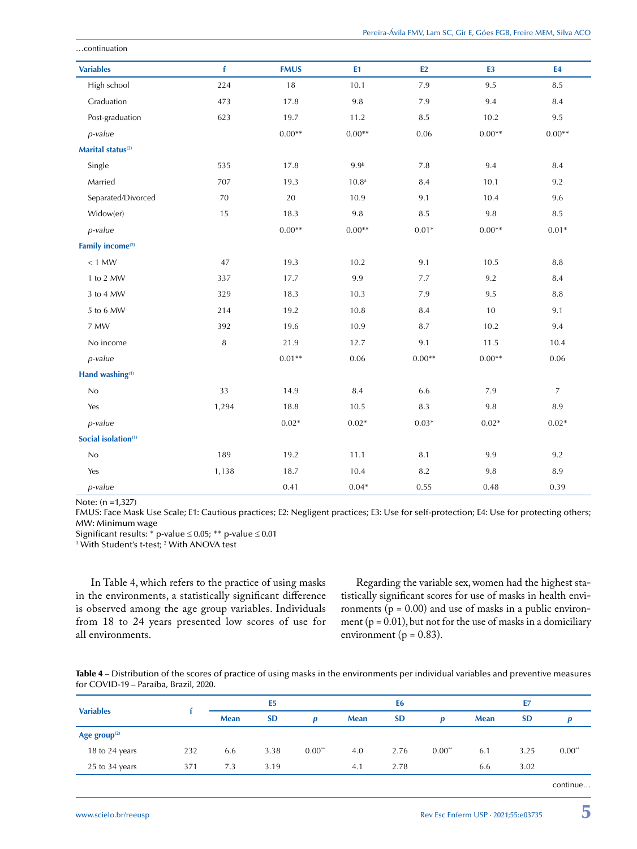| <b>Variables</b>                | f      | <b>FMUS</b> | E1                | E2       | E <sub>3</sub> | <b>E4</b>        |
|---------------------------------|--------|-------------|-------------------|----------|----------------|------------------|
| High school                     | 224    | 18          | 10.1              | 7.9      | 9.5            | 8.5              |
| Graduation                      | 473    | 17.8        | 9.8               | 7.9      | 9.4            | 8.4              |
| Post-graduation                 | 623    | 19.7        | 11.2              | 8.5      | 10.2           | 9.5              |
| p-value                         |        | $0.00**$    | $0.00**$          | 0.06     | $0.00**$       | $0.00**$         |
| Marital status <sup>(2)</sup>   |        |             |                   |          |                |                  |
| Single                          | 535    | 17.8        | 9.9 <sup>b</sup>  | 7.8      | 9.4            | 8.4              |
| Married                         | 707    | 19.3        | 10.8 <sup>a</sup> | 8.4      | 10.1           | 9.2              |
| Separated/Divorced              | 70     | 20          | 10.9              | 9.1      | 10.4           | 9.6              |
| Widow(er)                       | 15     | 18.3        | $9.8\,$           | 8.5      | $9.8\,$        | 8.5              |
| p-value                         |        | $0.00**$    | $0.00**$          | $0.01*$  | $0.00**$       | $0.01*$          |
| Family income <sup>(2)</sup>    |        |             |                   |          |                |                  |
| $< 1$ MW                        | 47     | 19.3        | 10.2              | 9.1      | 10.5           | 8.8              |
| 1 to 2 MW                       | 337    | 17.7        | 9.9               | 7.7      | 9.2            | 8.4              |
| 3 to 4 MW                       | 329    | 18.3        | 10.3              | 7.9      | 9.5            | 8.8              |
| 5 to 6 MW                       | 214    | 19.2        | 10.8              | 8.4      | 10             | 9.1              |
| 7 MW                            | 392    | 19.6        | 10.9              | 8.7      | 10.2           | 9.4              |
| No income                       | $\, 8$ | 21.9        | 12.7              | 9.1      | 11.5           | 10.4             |
| p-value                         |        | $0.01**$    | 0.06              | $0.00**$ | $0.00**$       | 0.06             |
| Hand washing(1)                 |        |             |                   |          |                |                  |
| $\rm No$                        | 33     | 14.9        | $\,8.4$           | 6.6      | $7.9\,$        | $\boldsymbol{7}$ |
| Yes                             | 1,294  | 18.8        | 10.5              | 8.3      | 9.8            | 8.9              |
| p-value                         |        | $0.02*$     | $0.02*$           | $0.03*$  | $0.02*$        | $0.02*$          |
| Social isolation <sup>(1)</sup> |        |             |                   |          |                |                  |
| $\rm No$                        | 189    | 19.2        | 11.1              | 8.1      | 9.9            | 9.2              |
| Yes                             | 1,138  | 18.7        | 10.4              | 8.2      | 9.8            | 8.9              |
| p-value                         |        | 0.41        | $0.04*$           | 0.55     | 0.48           | 0.39             |

Note: (n =1,327)

…continuation

FMUS: Face Mask Use Scale; E1: Cautious practices; E2: Negligent practices; E3: Use for self-protection; E4: Use for protecting others; MW: Minimum wage

Significant results:  $*$  p-value  $\leq$  0.05;  $**$  p-value  $\leq$  0.01

With Student's t-test; 2 With ANOVA test

In Table 4, which refers to the practice of using masks in the environments, a statistically significant difference is observed among the age group variables. Individuals from 18 to 24 years presented low scores of use for all environments.

Regarding the variable sex, women had the highest statistically significant scores for use of masks in health environments ( $p = 0.00$ ) and use of masks in a public environment ( $p = 0.01$ ), but not for the use of masks in a domiciliary environment ( $p = 0.83$ ).

Table 4 – Distribution of the scores of practice of using masks in the environments per individual variables and preventive measures for COVID-19 – Paraíba, Brazil, 2020.

| <b>Variables</b>         |     | E <sub>5</sub> |           | E <sub>6</sub>       |      |           | E7                   |             |           |          |
|--------------------------|-----|----------------|-----------|----------------------|------|-----------|----------------------|-------------|-----------|----------|
|                          |     | <b>Mean</b>    | <b>SD</b> | $\bf{D}$             | Mean | <b>SD</b> | D                    | <b>Mean</b> | <b>SD</b> |          |
| Age group <sup>(2)</sup> |     |                |           |                      |      |           |                      |             |           |          |
| 18 to 24 years           | 232 | 6.6            | 3.38      | $0.00$ <sup>**</sup> | 4.0  | 2.76      | $0.00$ <sup>**</sup> | 6.1         | 3.25      | $0.00**$ |
| 25 to 34 years           | 371 | 7.3            | 3.19      |                      | 4.1  | 2.78      |                      | 6.6         | 3.02      |          |
|                          |     |                |           |                      |      |           |                      |             |           | continue |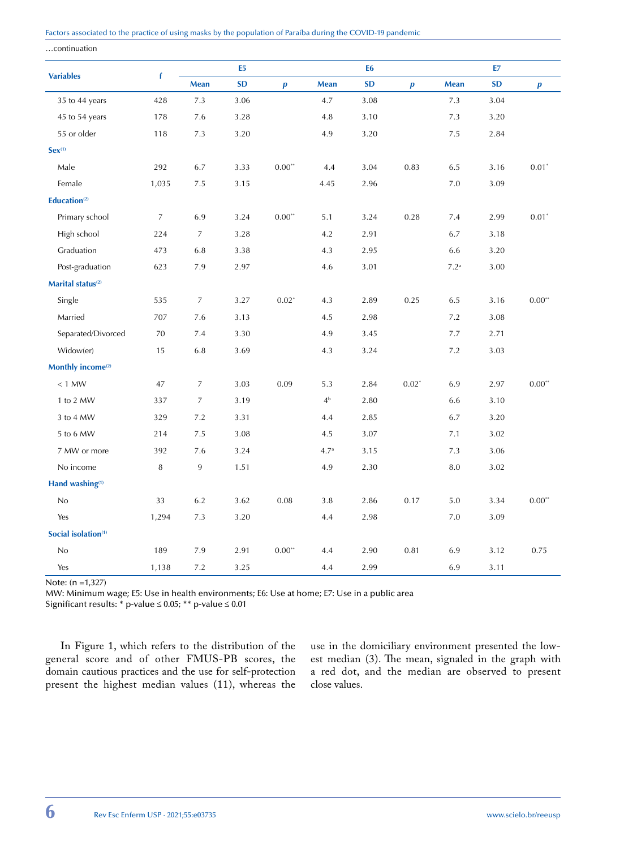…continuation

|                                 |                | E <sub>5</sub> |           | E <sub>6</sub>   |             |           | E7               |                    |           |                     |
|---------------------------------|----------------|----------------|-----------|------------------|-------------|-----------|------------------|--------------------|-----------|---------------------|
| <b>Variables</b>                | f              | <b>Mean</b>    | <b>SD</b> | $\boldsymbol{p}$ | Mean        | <b>SD</b> | $\boldsymbol{p}$ | Mean               | <b>SD</b> | $\boldsymbol{p}$    |
| 35 to 44 years                  | 428            | $7.3\,$        | 3.06      |                  | 4.7         | $3.08\,$  |                  | $7.3\,$            | 3.04      |                     |
| 45 to 54 years                  | 178            | 7.6            | 3.28      |                  | 4.8         | 3.10      |                  | 7.3                | 3.20      |                     |
| 55 or older                     | 118            | $7.3\,$        | 3.20      |                  | 4.9         | 3.20      |                  | 7.5                | 2.84      |                     |
| $Sex^{(1)}$                     |                |                |           |                  |             |           |                  |                    |           |                     |
| Male                            | 292            | 6.7            | 3.33      | $0.00**$         | 4.4         | 3.04      | 0.83             | 6.5                | 3.16      | $0.01$ <sup>*</sup> |
| Female                          | 1,035          | $7.5\,$        | 3.15      |                  | 4.45        | 2.96      |                  | $7.0\,$            | 3.09      |                     |
| Education <sup>(2)</sup>        |                |                |           |                  |             |           |                  |                    |           |                     |
| Primary school                  | $\overline{7}$ | 6.9            | 3.24      | $0.00**$         | 5.1         | 3.24      | 0.28             | 7.4                | 2.99      | $0.01*$             |
| High school                     | 224            | $\overline{7}$ | 3.28      |                  | 4.2         | 2.91      |                  | 6.7                | 3.18      |                     |
| Graduation                      | 473            | 6.8            | 3.38      |                  | 4.3         | 2.95      |                  | 6.6                | 3.20      |                     |
| Post-graduation                 | 623            | 7.9            | 2.97      |                  | 4.6         | 3.01      |                  | $7.2^{\mathrm{a}}$ | 3.00      |                     |
| Marital status <sup>(2)</sup>   |                |                |           |                  |             |           |                  |                    |           |                     |
| Single                          | 535            | $\overline{7}$ | 3.27      | $0.02*$          | 4.3         | 2.89      | 0.25             | 6.5                | 3.16      | 0.00"               |
| Married                         | 707            | 7.6            | 3.13      |                  | 4.5         | 2.98      |                  | $7.2\,$            | 3.08      |                     |
| Separated/Divorced              | 70             | 7.4            | 3.30      |                  | 4.9         | 3.45      |                  | 7.7                | 2.71      |                     |
| Widow(er)                       | 15             | 6.8            | 3.69      |                  | 4.3         | 3.24      |                  | 7.2                | 3.03      |                     |
| Monthly income <sup>(2)</sup>   |                |                |           |                  |             |           |                  |                    |           |                     |
| $< 1$ MW                        | 47             | 7              | 3.03      | 0.09             | 5.3         | 2.84      | $0.02*$          | 6.9                | 2.97      | $0.00**$            |
| 1 to 2 MW                       | 337            | 7              | 3.19      |                  | $4^{\rm b}$ | 2.80      |                  | 6.6                | 3.10      |                     |
| 3 to 4 MW                       | 329            | 7.2            | 3.31      |                  | 4.4         | 2.85      |                  | 6.7                | 3.20      |                     |
| 5 to 6 MW                       | 214            | 7.5            | 3.08      |                  | 4.5         | 3.07      |                  | 7.1                | 3.02      |                     |
| 7 MW or more                    | 392            | 7.6            | 3.24      |                  | $4.7^{a}$   | 3.15      |                  | 7.3                | 3.06      |                     |
| No income                       | 8              | 9              | 1.51      |                  | 4.9         | 2.30      |                  | 8.0                | 3.02      |                     |
| Hand washing <sup>(1)</sup>     |                |                |           |                  |             |           |                  |                    |           |                     |
| No                              | 33             | 6.2            | 3.62      | 0.08             | 3.8         | 2.86      | 0.17             | $5.0\,$            | 3.34      | $0.00**$            |
| Yes                             | 1,294          | 7.3            | 3.20      |                  | 4.4         | 2.98      |                  | 7.0                | 3.09      |                     |
| Social isolation <sup>(1)</sup> |                |                |           |                  |             |           |                  |                    |           |                     |
| No                              | 189            | 7.9            | 2.91      | $0.00**$         | 4.4         | 2.90      | 0.81             | 6.9                | 3.12      | 0.75                |
| Yes                             | 1,138          | 7.2            | 3.25      |                  | 4.4         | 2.99      |                  | 6.9                | 3.11      |                     |

Note: (n =1,327)

MW: Minimum wage; E5: Use in health environments; E6: Use at home; E7: Use in a public area

Significant results: \* p-value ≤ 0.05; \*\* p-value ≤ 0.01

In Figure 1, which refers to the distribution of the general score and of other FMUS-PB scores, the domain cautious practices and the use for self-protection present the highest median values (11), whereas the use in the domiciliary environment presented the lowest median (3). The mean, signaled in the graph with a red dot, and the median are observed to present close values.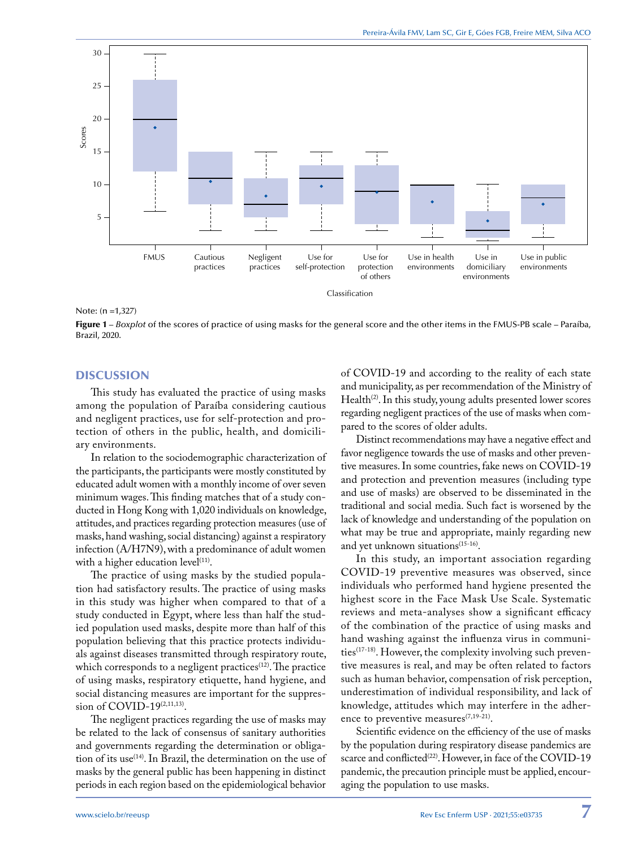

Note: (n =1,327)

Figure 1 – *Boxplot* of the scores of practice of using masks for the general score and the other items in the FMUS-PB scale – Paraíba, Brazil, 2020.

#### **DISCUSSION**

This study has evaluated the practice of using masks among the population of Paraíba considering cautious and negligent practices, use for self-protection and protection of others in the public, health, and domiciliary environments.

In relation to the sociodemographic characterization of the participants, the participants were mostly constituted by educated adult women with a monthly income of over seven minimum wages. This finding matches that of a study conducted in Hong Kong with 1,020 individuals on knowledge, attitudes, and practices regarding protection measures (use of masks, hand washing, social distancing) against a respiratory infection (A/H7N9), with a predominance of adult women with a higher education level $(11)$ .

The practice of using masks by the studied population had satisfactory results. The practice of using masks in this study was higher when compared to that of a study conducted in Egypt, where less than half the studied population used masks, despite more than half of this population believing that this practice protects individuals against diseases transmitted through respiratory route, which corresponds to a negligent practices<sup>(12)</sup>. The practice of using masks, respiratory etiquette, hand hygiene, and social distancing measures are important for the suppression of COVID-19<sup>(2,11,13)</sup>.

The negligent practices regarding the use of masks may be related to the lack of consensus of sanitary authorities and governments regarding the determination or obligation of its use<sup>(14)</sup>. In Brazil, the determination on the use of masks by the general public has been happening in distinct periods in each region based on the epidemiological behavior

of COVID-19 and according to the reality of each state and municipality, as per recommendation of the Ministry of Health<sup>(2)</sup>. In this study, young adults presented lower scores regarding negligent practices of the use of masks when compared to the scores of older adults.

Distinct recommendations may have a negative effect and favor negligence towards the use of masks and other preventive measures. In some countries, fake news on COVID-19 and protection and prevention measures (including type and use of masks) are observed to be disseminated in the traditional and social media. Such fact is worsened by the lack of knowledge and understanding of the population on what may be true and appropriate, mainly regarding new and yet unknown situations<sup>(15-16)</sup>.

In this study, an important association regarding COVID-19 preventive measures was observed, since individuals who performed hand hygiene presented the highest score in the Face Mask Use Scale. Systematic reviews and meta-analyses show a significant efficacy of the combination of the practice of using masks and hand washing against the influenza virus in communities(17-18). However, the complexity involving such preventive measures is real, and may be often related to factors such as human behavior, compensation of risk perception, underestimation of individual responsibility, and lack of knowledge, attitudes which may interfere in the adherence to preventive measures $(7,19-21)$ .

Scientific evidence on the efficiency of the use of masks by the population during respiratory disease pandemics are scarce and conflicted<sup>(22)</sup>. However, in face of the COVID-19 pandemic, the precaution principle must be applied, encouraging the population to use masks.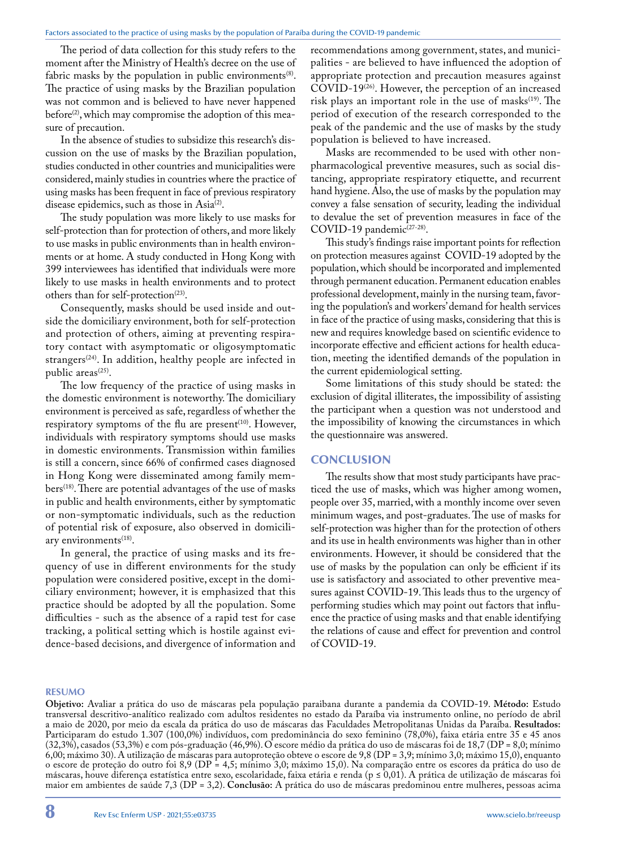The period of data collection for this study refers to the moment after the Ministry of Health's decree on the use of fabric masks by the population in public environments $(8)$ . The practice of using masks by the Brazilian population was not common and is believed to have never happened before<sup>(2)</sup>, which may compromise the adoption of this measure of precaution.

In the absence of studies to subsidize this research's discussion on the use of masks by the Brazilian population, studies conducted in other countries and municipalities were considered, mainly studies in countries where the practice of using masks has been frequent in face of previous respiratory disease epidemics, such as those in Asia<sup>(2)</sup>.

The study population was more likely to use masks for self-protection than for protection of others, and more likely to use masks in public environments than in health environments or at home. A study conducted in Hong Kong with 399 interviewees has identified that individuals were more likely to use masks in health environments and to protect others than for self-protection<sup>(23)</sup>.

Consequently, masks should be used inside and outside the domiciliary environment, both for self-protection and protection of others, aiming at preventing respiratory contact with asymptomatic or oligosymptomatic strangers<sup>(24)</sup>. In addition, healthy people are infected in public areas<sup>(25)</sup>.

The low frequency of the practice of using masks in the domestic environment is noteworthy. The domiciliary environment is perceived as safe, regardless of whether the respiratory symptoms of the flu are present $(10)$ . However, individuals with respiratory symptoms should use masks in domestic environments. Transmission within families is still a concern, since 66% of confirmed cases diagnosed in Hong Kong were disseminated among family mem $bers^{(18)}$ . There are potential advantages of the use of masks in public and health environments, either by symptomatic or non-symptomatic individuals, such as the reduction of potential risk of exposure, also observed in domiciliary environments<sup>(18)</sup>.

In general, the practice of using masks and its frequency of use in different environments for the study population were considered positive, except in the domiciliary environment; however, it is emphasized that this practice should be adopted by all the population. Some difficulties - such as the absence of a rapid test for case tracking, a political setting which is hostile against evidence-based decisions, and divergence of information and

recommendations among government, states, and municipalities - are believed to have influenced the adoption of appropriate protection and precaution measures against COVID-19<sup>(26)</sup>. However, the perception of an increased risk plays an important role in the use of masks<sup>(19)</sup>. The period of execution of the research corresponded to the peak of the pandemic and the use of masks by the study population is believed to have increased.

Masks are recommended to be used with other nonpharmacological preventive measures, such as social distancing, appropriate respiratory etiquette, and recurrent hand hygiene. Also, the use of masks by the population may convey a false sensation of security, leading the individual to devalue the set of prevention measures in face of the COVID-19 pandemic<sup>(27-28)</sup>.

This study's findings raise important points for reflection on protection measures against COVID-19 adopted by the population, which should be incorporated and implemented through permanent education. Permanent education enables professional development, mainly in the nursing team, favoring the population's and workers' demand for health services in face of the practice of using masks, considering that this is new and requires knowledge based on scientific evidence to incorporate effective and efficient actions for health education, meeting the identified demands of the population in the current epidemiological setting.

Some limitations of this study should be stated: the exclusion of digital illiterates, the impossibility of assisting the participant when a question was not understood and the impossibility of knowing the circumstances in which the questionnaire was answered.

# **CONCLUSION**

The results show that most study participants have practiced the use of masks, which was higher among women, people over 35, married, with a monthly income over seven minimum wages, and post-graduates. The use of masks for self-protection was higher than for the protection of others and its use in health environments was higher than in other environments. However, it should be considered that the use of masks by the population can only be efficient if its use is satisfactory and associated to other preventive measures against COVID-19. This leads thus to the urgency of performing studies which may point out factors that influence the practice of using masks and that enable identifying the relations of cause and effect for prevention and control of COVID-19.

#### **RESUMO**

**Objetivo:** Avaliar a prática do uso de máscaras pela população paraibana durante a pandemia da COVID-19. **Método:** Estudo transversal descritivo-analítico realizado com adultos residentes no estado da Paraíba via instrumento online, no período de abril a maio de 2020, por meio da escala da prática do uso de máscaras das Faculdades Metropolitanas Unidas da Paraíba. **Resultados:** Participaram do estudo 1.307 (100,0%) indivíduos, com predominância do sexo feminino (78,0%), faixa etária entre 35 e 45 anos (32,3%), casados (53,3%) e com pós-graduação (46,9%). O escore médio da prática do uso de máscaras foi de 18,7 (DP = 8,0; mínimo 6,00; máximo 30). A utilização de máscaras para autoproteção obteve o escore de 9,8 (DP = 3,9; mínimo 3,0; máximo 15,0), enquanto o escore de proteção do outro foi 8,9 (DP = 4,5; mínimo 3,0; máximo 15,0). Na comparação entre os escores da prática do uso de máscaras, houve diferença estatística entre sexo, escolaridade, faixa etária e renda (p ≤ 0,01). A prática de utilização de máscaras foi maior em ambientes de saúde 7,3 (DP = 3,2). **Conclusão:** A prática do uso de máscaras predominou entre mulheres, pessoas acima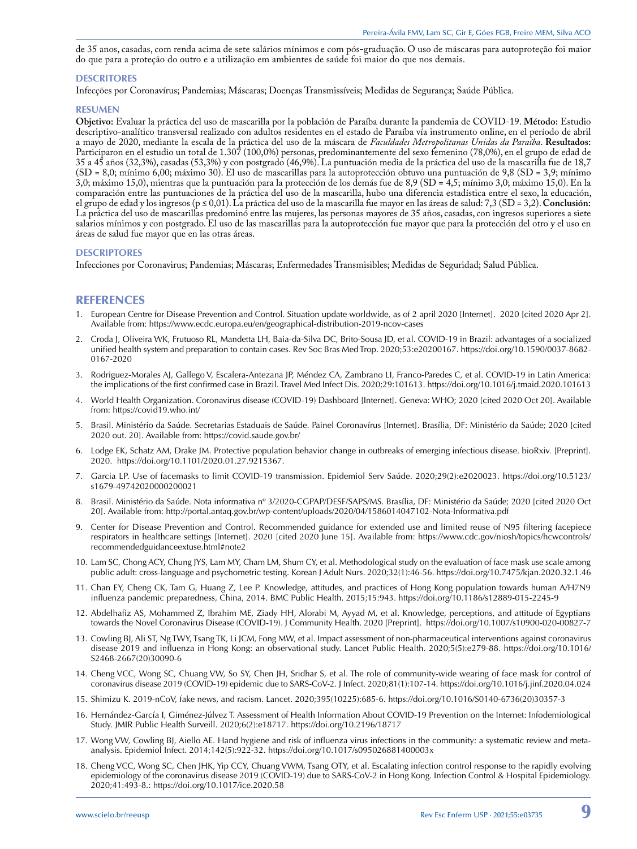de 35 anos, casadas, com renda acima de sete salários mínimos e com pós-graduação. O uso de máscaras para autoproteção foi maior do que para a proteção do outro e a utilização em ambientes de saúde foi maior do que nos demais.

#### **DESCRITORES**

Infecções por Coronavírus; Pandemias; Máscaras; Doenças Transmissíveis; Medidas de Segurança; Saúde Pública.

#### **RESUMEN**

**Objetivo:** Evaluar la práctica del uso de mascarilla por la población de Paraíba durante la pandemia de COVID-19. **Método:** Estudio descriptivo-analítico transversal realizado con adultos residentes en el estado de Paraíba vía instrumento online, en el período de abril a mayo de 2020, mediante la escala de la práctica del uso de la máscara de *Faculdades Metropolitanas Unidas da Paraíba*. **Resultados:** Participaron en el estudio un total de 1.307 (100,0%) personas, predominantemente del sexo femenino (78,0%), en el grupo de edad de 35 a 45 años (32,3%), casadas (53,3%) y con postgrado (46,9%). La puntuación media de la práctica del uso de la mascarilla fue de 18,7  $(SD = 8,0; \text{minimo } 6,00; \text{máximo } 30)$ . El uso de mascarillas para la autoprotección obtuvo una puntuación de 9,8 (SD = 3,9; mínimo 3,0; máximo 15,0), mientras que la puntuación para la protección de los demás fue de 8,9 (SD = 4,5; mínimo 3,0; máximo 15,0). En la comparación entre las puntuaciones de la práctica del uso de la mascarilla, hubo una diferencia estadística entre el sexo, la educación, el grupo de edad y los ingresos (p ≤ 0,01). La práctica del uso de la mascarilla fue mayor en las áreas de salud: 7,3 (SD = 3,2). **Conclusión:** La práctica del uso de mascarillas predominó entre las mujeres, las personas mayores de 35 años, casadas, con ingresos superiores a siete salarios mínimos y con postgrado. El uso de las mascarillas para la autoprotección fue mayor que para la protección del otro y el uso en áreas de salud fue mayor que en las otras áreas.

#### **DESCRIPTORES**

Infecciones por Coronavirus; Pandemias; Máscaras; Enfermedades Transmisibles; Medidas de Seguridad; Salud Pública.

#### **REFERENCES**

- 1. European Centre for Disease Prevention and Control. Situation update worldwide, as of 2 april 2020 [Internet]. 2020 [cited 2020 Apr 2]. Available from: https://www.ecdc.europa.eu/en/geographical-distribution-2019-ncov-cases
- 2. Croda J, Oliveira WK, Frutuoso RL, Mandetta LH, Baia-da-Silva DC, Brito-Sousa JD, et al. COVID-19 in Brazil: advantages of a socialized unified health system and preparation to contain cases. Rev Soc Bras Med Trop. 2020;53:e20200167. https://doi.org/10.1590/0037-8682- 0167-2020
- 3. Rodriguez-Morales AJ, Gallego V, Escalera-Antezana JP, Méndez CA, Zambrano LI, Franco-Paredes C, et al. COVID-19 in Latin America: the implications of the first confirmed case in Brazil. Travel Med Infect Dis. 2020;29:101613. https://doi.org/10.1016/j.tmaid.2020.101613
- 4. World Health Organization. Coronavirus disease (COVID-19) Dashboard [Internet]. Geneva: WHO; 2020 [cited 2020 Oct 20]. Available from: https://covid19.who.int/
- 5. Brasil. Ministério da Saúde. Secretarias Estaduais de Saúde. Painel Coronavírus [Internet]. Brasília, DF: Ministério da Saúde; 2020 [cited 2020 out. 20]. Available from: https://covid.saude.gov.br/
- 6. Lodge EK, Schatz AM, Drake JM. Protective population behavior change in outbreaks of emerging infectious disease. bioRxiv. [Preprint]. 2020. https://doi.org/10.1101/2020.01.27.9215367.
- 7. Garcia LP. Use of facemasks to limit COVID-19 transmission. Epidemiol Serv Saúde. 2020;29(2):e2020023. https://doi.org/10.5123/ s1679-49742020000200021
- 8. Brasil. Ministério da Saúde. Nota informativa nº 3/2020-CGPAP/DESF/SAPS/MS. Brasília, DF: Ministério da Saúde; 2020 [cited 2020 Oct 20]. Available from: http://portal.antaq.gov.br/wp-content/uploads/2020/04/1586014047102-Nota-Informativa.pdf
- 9. Center for Disease Prevention and Control. Recommended guidance for extended use and limited reuse of N95 filtering facepiece respirators in healthcare settings [Internet]. 2020 [cited 2020 June 15]. Available from: https://www.cdc.gov/niosh/topics/hcwcontrols/ recommendedguidanceextuse.html#note2
- 10. Lam SC, Chong ACY, Chung JYS, Lam MY, Cham LM, Shum CY, et al. Methodological study on the evaluation of face mask use scale among public adult: cross-language and psychometric testing. Korean J Adult Nurs. 2020;32(1):46-56. https://doi.org/10.7475/kjan.2020.32.1.46
- 11. Chan EY, Cheng CK, Tam G, Huang Z, Lee P. Knowledge, attitudes, and practices of Hong Kong population towards human A/H7N9 influenza pandemic preparedness, China, 2014. BMC Public Health. 2015;15:943. https://doi.org/10.1186/s12889-015-2245-9
- 12. Abdelhafiz AS, Mohammed Z, Ibrahim ME, Ziady HH, Alorabi M, Ayyad M, et al. Knowledge, perceptions, and attitude of Egyptians towards the Novel Coronavirus Disease (COVID-19). J Community Health. 2020 [Preprint]. https://doi.org/10.1007/s10900-020-00827-7
- 13. Cowling BJ, Ali ST, Ng TWY, Tsang TK, Li JCM, Fong MW, et al. Impact assessment of non-pharmaceutical interventions against coronavirus disease 2019 and influenza in Hong Kong: an observational study. Lancet Public Health. 2020;5(5):e279‐88. https://doi.org/10.1016/ S2468-2667(20)30090-6
- 14. Cheng VCC, Wong SC, Chuang VW, So SY, Chen JH, Sridhar S, et al. The role of community-wide wearing of face mask for control of coronavirus disease 2019 (COVID-19) epidemic due to SARS-CoV-2. J Infect. 2020;81(1):107-14. https://doi.org/10.1016/j.jinf.2020.04.024
- 15. Shimizu K. 2019-nCoV, fake news, and racism. Lancet. 2020;395(10225):685-6. https://doi.org/10.1016/S0140-6736(20)30357-3
- 16. Hernández-García I, Giménez-Júlvez T. Assessment of Health Information About COVID-19 Prevention on the Internet: Infodemiological Study. JMIR Public Health Surveill. 2020;6(2):e18717. https://doi.org/10.2196/18717
- 17. Wong VW, Cowling BJ, Aiello AE. Hand hygiene and risk of influenza virus infections in the community: a systematic review and metaanalysis. Epidemiol Infect. 2014;142(5):922-32. https://doi.org/10.1017/s095026881400003x
- 18. Cheng VCC, Wong SC, Chen JHK, Yip CCY, Chuang VWM, Tsang OTY, et al. Escalating infection control response to the rapidly evolving epidemiology of the coronavirus disease 2019 (COVID-19) due to SARS-CoV-2 in Hong Kong. Infection Control & Hospital Epidemiology. 2020;41:493-8.: https://doi.org/10.1017/ice.2020.58